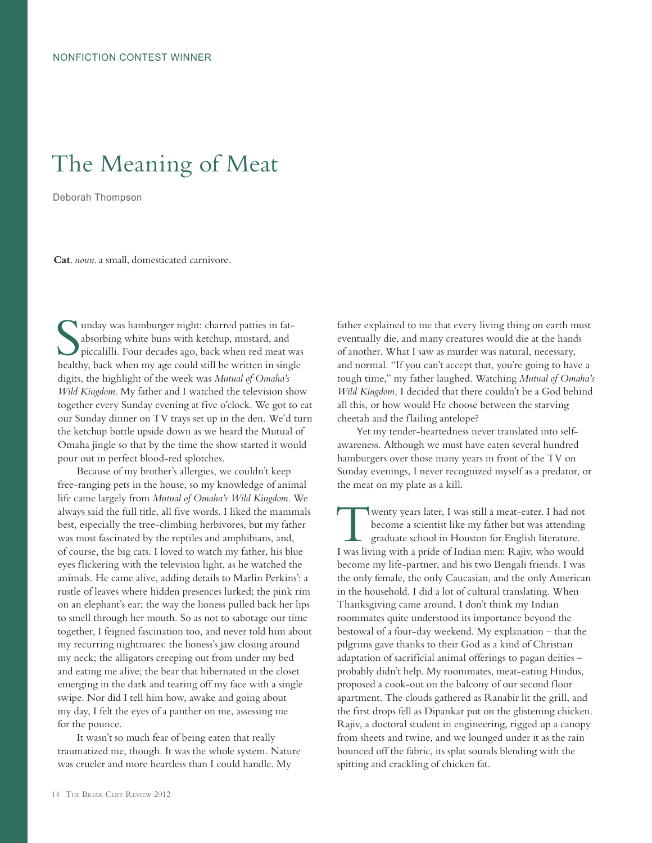## The Meaning of Meat

Deborah Thompson

**Cat**. *noun*. a small, domesticated carnivore.

Imax was hamburger night: charred patties in fat-<br>absorbing white buns with ketchup, mustard, and<br>piccalilli. Four decades ago, back when red meat was<br>healthy, back when my age could still be written in single unday was hamburger night: charred patties in fatabsorbing white buns with ketchup, mustard, and piccalilli. Four decades ago, back when red meat was digits, the highlight of the week was *Mutual of Omaha's Wild Kingdom*. My father and I watched the television show together every Sunday evening at five o'clock. We got to eat our Sunday dinner on TV trays set up in the den. We'd turn the ketchup bottle upside down as we heard the Mutual of Omaha jingle so that by the time the show started it would pour out in perfect blood-red splotches.

Because of my brother's allergies, we couldn't keep free-ranging pets in the house, so my knowledge of animal life came largely from *Mutual of Omaha's Wild Kingdom*. We always said the full title, all five words. I liked the mammals best, especially the tree-climbing herbivores, but my father was most fascinated by the reptiles and amphibians, and, of course, the big cats. I loved to watch my father, his blue eyes flickering with the television light, as he watched the animals. He came alive, adding details to Marlin Perkins': a rustle of leaves where hidden presences lurked; the pink rim on an elephant's ear; the way the lioness pulled back her lips to smell through her mouth. So as not to sabotage our time together, I feigned fascination too, and never told him about my recurring nightmares: the lioness's jaw closing around my neck; the alligators creeping out from under my bed and eating me alive; the bear that hibernated in the closet emerging in the dark and tearing off my face with a single swipe. Nor did I tell him how, awake and going about my day, I felt the eyes of a panther on me, assessing me for the pounce.

It wasn't so much fear of being eaten that really traumatized me, though. It was the whole system. Nature was crueler and more heartless than I could handle. My

father explained to me that every living thing on earth must eventually die, and many creatures would die at the hands of another. What I saw as murder was natural, necessary, and normal. "If you can't accept that, you're going to have a tough time," my father laughed. Watching *Mutual of Omaha's Wild Kingdom,* I decided that there couldn't be a God behind all this, or how would He choose between the starving cheetah and the flailing antelope?

Yet my tender-heartedness never translated into selfawareness. Although we must have eaten several hundred hamburgers over those many years in front of the TV on Sunday evenings, I never recognized myself as a predator, or the meat on my plate as a kill.

Wenty years later, I was still a meat-eater. I had not<br>become a scientist like my father but was attending<br>graduate school in Houston for English literature.<br>I was living with a pride of Indian man: P aiiv, who would become a scientist like my father but was attending graduate school in Houston for English literature. I was living with a pride of Indian men: Rajiv, who would become my life-partner, and his two Bengali friends. I was the only female, the only Caucasian, and the only American in the household. I did a lot of cultural translating. When Thanksgiving came around, I don't think my Indian roommates quite understood its importance beyond the bestowal of a four-day weekend. My explanation – that the pilgrims gave thanks to their God as a kind of Christian adaptation of sacrificial animal offerings to pagan deities – probably didn't help. My roommates, meat-eating Hindus, proposed a cook-out on the balcony of our second floor apartment. The clouds gathered as Ranabir lit the grill, and the first drops fell as Dipankar put on the glistening chicken. Rajiv, a doctoral student in engineering, rigged up a canopy from sheets and twine, and we lounged under it as the rain bounced off the fabric, its splat sounds blending with the spitting and crackling of chicken fat.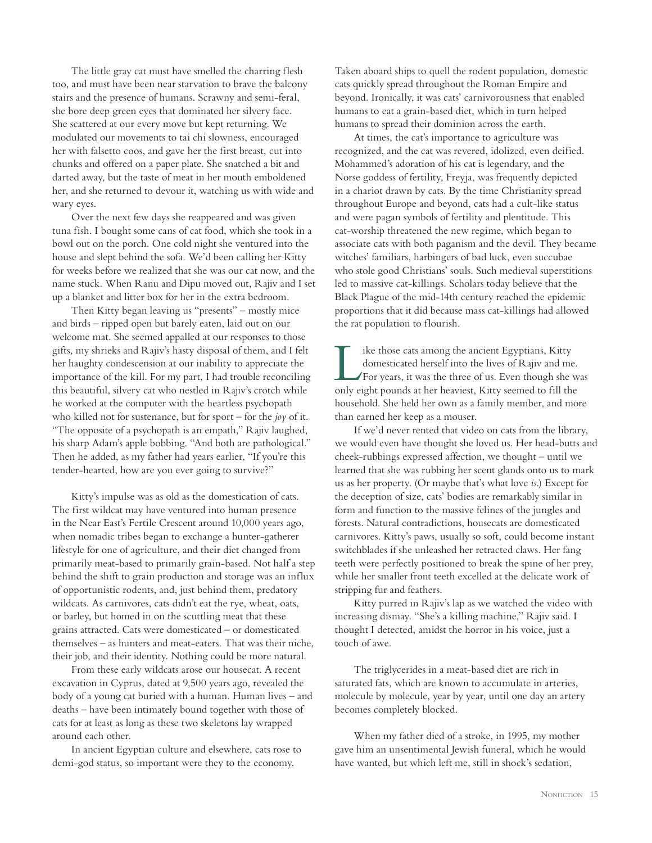The little gray cat must have smelled the charring flesh too, and must have been near starvation to brave the balcony stairs and the presence of humans. Scrawny and semi-feral, she bore deep green eyes that dominated her silvery face. She scattered at our every move but kept returning. We modulated our movements to tai chi slowness, encouraged her with falsetto coos, and gave her the first breast, cut into chunks and offered on a paper plate. She snatched a bit and darted away, but the taste of meat in her mouth emboldened her, and she returned to devour it, watching us with wide and wary eyes.

Over the next few days she reappeared and was given tuna fish. I bought some cans of cat food, which she took in a bowl out on the porch. One cold night she ventured into the house and slept behind the sofa. We'd been calling her Kitty for weeks before we realized that she was our cat now, and the name stuck. When Ranu and Dipu moved out, Rajiv and I set up a blanket and litter box for her in the extra bedroom.

Then Kitty began leaving us "presents" – mostly mice and birds – ripped open but barely eaten, laid out on our welcome mat. She seemed appalled at our responses to those gifts, my shrieks and Rajiv's hasty disposal of them, and I felt her haughty condescension at our inability to appreciate the importance of the kill. For my part, I had trouble reconciling this beautiful, silvery cat who nestled in Rajiv's crotch while he worked at the computer with the heartless psychopath who killed not for sustenance, but for sport – for the *joy* of it. "The opposite of a psychopath is an empath," Rajiv laughed, his sharp Adam's apple bobbing. "And both are pathological." Then he added, as my father had years earlier, "If you're this tender-hearted, how are you ever going to survive?"

Kitty's impulse was as old as the domestication of cats. The first wildcat may have ventured into human presence in the Near East's Fertile Crescent around 10,000 years ago, when nomadic tribes began to exchange a hunter-gatherer lifestyle for one of agriculture, and their diet changed from primarily meat-based to primarily grain-based. Not half a step behind the shift to grain production and storage was an influx of opportunistic rodents, and, just behind them, predatory wildcats. As carnivores, cats didn't eat the rye, wheat, oats, or barley, but homed in on the scuttling meat that these grains attracted. Cats were domesticated – or domesticated themselves – as hunters and meat-eaters. That was their niche, their job, and their identity. Nothing could be more natural.

From these early wildcats arose our housecat. A recent excavation in Cyprus, dated at 9,500 years ago, revealed the body of a young cat buried with a human. Human lives – and deaths – have been intimately bound together with those of cats for at least as long as these two skeletons lay wrapped around each other.

In ancient Egyptian culture and elsewhere, cats rose to demi-god status, so important were they to the economy.

Taken aboard ships to quell the rodent population, domestic cats quickly spread throughout the Roman Empire and beyond. Ironically, it was cats' carnivorousness that enabled humans to eat a grain-based diet, which in turn helped humans to spread their dominion across the earth.

At times, the cat's importance to agriculture was recognized, and the cat was revered, idolized, even deified. Mohammed's adoration of his cat is legendary, and the Norse goddess of fertility, Freyja, was frequently depicted in a chariot drawn by cats. By the time Christianity spread throughout Europe and beyond, cats had a cult-like status and were pagan symbols of fertility and plentitude. This cat-worship threatened the new regime, which began to associate cats with both paganism and the devil. They became witches' familiars, harbingers of bad luck, even succubae who stole good Christians' souls. Such medieval superstitions led to massive cat-killings. Scholars today believe that the Black Plague of the mid-14th century reached the epidemic proportions that it did because mass cat-killings had allowed the rat population to flourish.

I ike those cats among the ancient Egyptians, Kitty<br>domesticated herself into the lives of Rajiv and me<br>For years, it was the three of us. Even though she<br>only gight pounds at her hequiest. Kitty seemed to fill the domesticated herself into the lives of Rajiv and me. For years, it was the three of us. Even though she was only eight pounds at her heaviest, Kitty seemed to fill the household. She held her own as a family member, and more than earned her keep as a mouser.

If we'd never rented that video on cats from the library, we would even have thought she loved us. Her head-butts and cheek-rubbings expressed affection, we thought – until we learned that she was rubbing her scent glands onto us to mark us as her property. (Or maybe that's what love *is*.) Except for the deception of size, cats' bodies are remarkably similar in form and function to the massive felines of the jungles and forests. Natural contradictions, housecats are domesticated carnivores. Kitty's paws, usually so soft, could become instant switchblades if she unleashed her retracted claws. Her fang teeth were perfectly positioned to break the spine of her prey, while her smaller front teeth excelled at the delicate work of stripping fur and feathers.

Kitty purred in Rajiv's lap as we watched the video with increasing dismay. "She's a killing machine," Rajiv said. I thought I detected, amidst the horror in his voice, just a touch of awe.

The triglycerides in a meat-based diet are rich in saturated fats, which are known to accumulate in arteries, molecule by molecule, year by year, until one day an artery becomes completely blocked.

When my father died of a stroke, in 1995, my mother gave him an unsentimental Jewish funeral, which he would have wanted, but which left me, still in shock's sedation,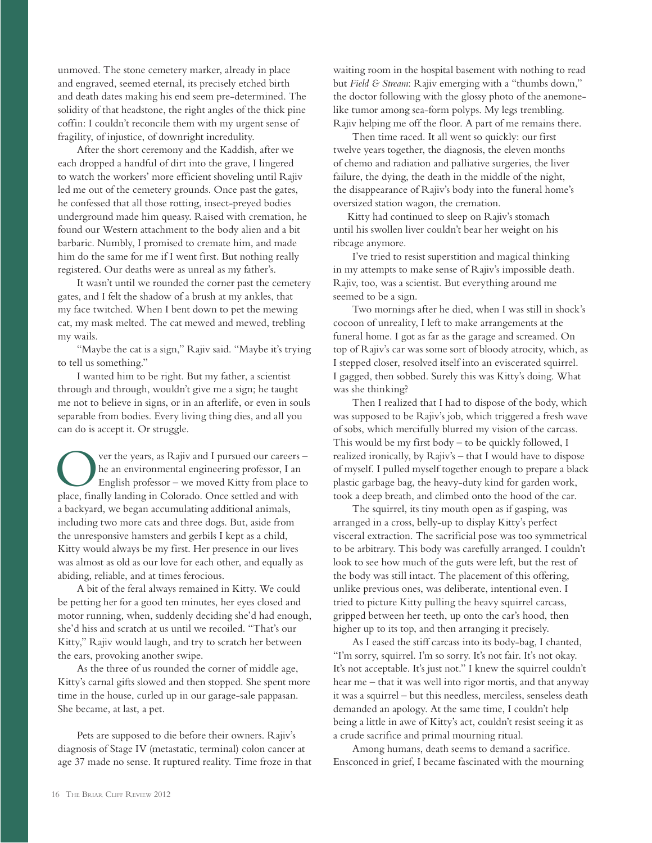unmoved. The stone cemetery marker, already in place and engraved, seemed eternal, its precisely etched birth and death dates making his end seem pre-determined. The solidity of that headstone, the right angles of the thick pine coffin: I couldn't reconcile them with my urgent sense of fragility, of injustice, of downright incredulity.

After the short ceremony and the Kaddish, after we each dropped a handful of dirt into the grave, I lingered to watch the workers' more efficient shoveling until Rajiv led me out of the cemetery grounds. Once past the gates, he confessed that all those rotting, insect-preyed bodies underground made him queasy. Raised with cremation, he found our Western attachment to the body alien and a bit barbaric. Numbly, I promised to cremate him, and made him do the same for me if I went first. But nothing really registered. Our deaths were as unreal as my father's.

It wasn't until we rounded the corner past the cemetery gates, and I felt the shadow of a brush at my ankles, that my face twitched. When I bent down to pet the mewing cat, my mask melted. The cat mewed and mewed, trebling my wails.

"Maybe the cat is a sign," Rajiv said. "Maybe it's trying to tell us something."

I wanted him to be right. But my father, a scientist through and through, wouldn't give me a sign; he taught me not to believe in signs, or in an afterlife, or even in souls separable from bodies. Every living thing dies, and all you can do is accept it. Or struggle.

ver the years, as Rajiv and I pursued our careers he an environmental engineering professor, I an English professor – we moved Kitty from place to place, finally landing in Colorado. Once settled and with a backyard, we began accumulating additional animals, including two more cats and three dogs. But, aside from the unresponsive hamsters and gerbils I kept as a child, Kitty would always be my first. Her presence in our lives was almost as old as our love for each other, and equally as abiding, reliable, and at times ferocious.

A bit of the feral always remained in Kitty. We could be petting her for a good ten minutes, her eyes closed and motor running, when, suddenly deciding she'd had enough, she'd hiss and scratch at us until we recoiled. "That's our Kitty," Rajiv would laugh, and try to scratch her between the ears, provoking another swipe.

As the three of us rounded the corner of middle age, Kitty's carnal gifts slowed and then stopped. She spent more time in the house, curled up in our garage-sale pappasan. She became, at last, a pet.

Pets are supposed to die before their owners. Rajiv's diagnosis of Stage IV (metastatic, terminal) colon cancer at age 37 made no sense. It ruptured reality. Time froze in that waiting room in the hospital basement with nothing to read but *Field & Stream*: Rajiv emerging with a "thumbs down," the doctor following with the glossy photo of the anemonelike tumor among sea-form polyps. My legs trembling. Rajiv helping me off the floor. A part of me remains there.

Then time raced. It all went so quickly: our first twelve years together, the diagnosis, the eleven months of chemo and radiation and palliative surgeries, the liver failure, the dying, the death in the middle of the night, the disappearance of Rajiv's body into the funeral home's oversized station wagon, the cremation.

 Kitty had continued to sleep on Rajiv's stomach until his swollen liver couldn't bear her weight on his ribcage anymore.

I've tried to resist superstition and magical thinking in my attempts to make sense of Rajiv's impossible death. Rajiv, too, was a scientist. But everything around me seemed to be a sign.

Two mornings after he died, when I was still in shock's cocoon of unreality, I left to make arrangements at the funeral home. I got as far as the garage and screamed. On top of Rajiv's car was some sort of bloody atrocity, which, as I stepped closer, resolved itself into an eviscerated squirrel. I gagged, then sobbed. Surely this was Kitty's doing. What was she thinking?

Then I realized that I had to dispose of the body, which was supposed to be Rajiv's job, which triggered a fresh wave of sobs, which mercifully blurred my vision of the carcass. This would be my first body – to be quickly followed, I realized ironically, by Rajiv's – that I would have to dispose of myself. I pulled myself together enough to prepare a black plastic garbage bag, the heavy-duty kind for garden work, took a deep breath, and climbed onto the hood of the car.

The squirrel, its tiny mouth open as if gasping, was arranged in a cross, belly-up to display Kitty's perfect visceral extraction. The sacrificial pose was too symmetrical to be arbitrary. This body was carefully arranged. I couldn't look to see how much of the guts were left, but the rest of the body was still intact. The placement of this offering, unlike previous ones, was deliberate, intentional even. I tried to picture Kitty pulling the heavy squirrel carcass, gripped between her teeth, up onto the car's hood, then higher up to its top, and then arranging it precisely.

As I eased the stiff carcass into its body-bag, I chanted, "I'm sorry, squirrel. I'm so sorry. It's not fair. It's not okay. It's not acceptable. It's just not." I knew the squirrel couldn't hear me – that it was well into rigor mortis, and that anyway it was a squirrel – but this needless, merciless, senseless death demanded an apology. At the same time, I couldn't help being a little in awe of Kitty's act, couldn't resist seeing it as a crude sacrifice and primal mourning ritual.

Among humans, death seems to demand a sacrifice. Ensconced in grief, I became fascinated with the mourning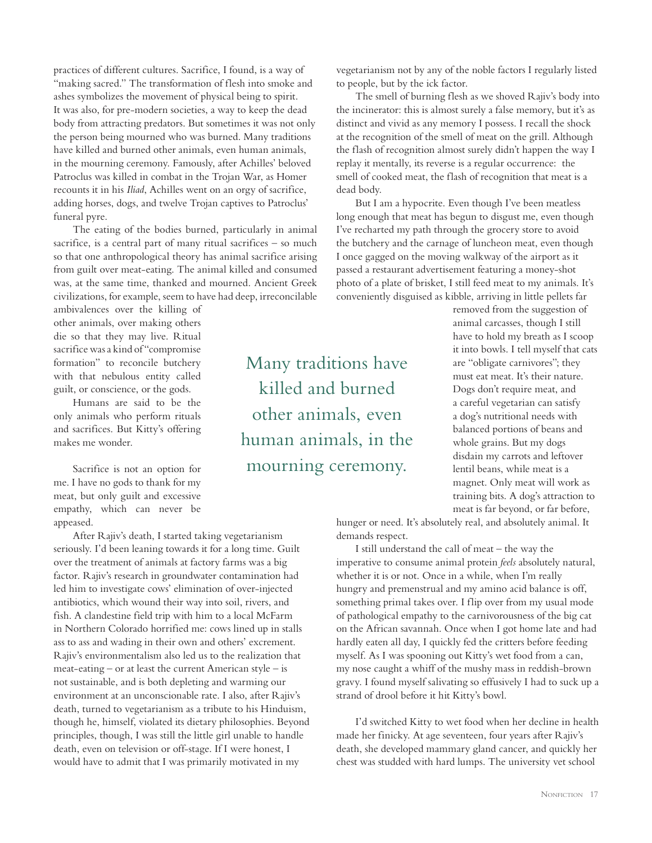practices of different cultures. Sacrifice, I found, is a way of "making sacred." The transformation of flesh into smoke and ashes symbolizes the movement of physical being to spirit. It was also, for pre-modern societies, a way to keep the dead body from attracting predators. But sometimes it was not only the person being mourned who was burned. Many traditions have killed and burned other animals, even human animals, in the mourning ceremony. Famously, after Achilles' beloved Patroclus was killed in combat in the Trojan War, as Homer recounts it in his *Iliad*, Achilles went on an orgy of sacrifice, adding horses, dogs, and twelve Trojan captives to Patroclus' funeral pyre.

The eating of the bodies burned, particularly in animal sacrifice, is a central part of many ritual sacrifices – so much so that one anthropological theory has animal sacrifice arising from guilt over meat-eating. The animal killed and consumed was, at the same time, thanked and mourned. Ancient Greek civilizations, for example, seem to have had deep, irreconcilable

ambivalences over the killing of other animals, over making others die so that they may live. Ritual sacrifice was a kind of "compromise formation" to reconcile butchery with that nebulous entity called guilt, or conscience, or the gods.

Humans are said to be the only animals who perform rituals and sacrifices. But Kitty's offering makes me wonder.

Sacrifice is not an option for me. I have no gods to thank for my meat, but only guilt and excessive empathy, which can never be appeased.

After Rajiv's death, I started taking vegetarianism seriously. I'd been leaning towards it for a long time. Guilt over the treatment of animals at factory farms was a big factor. Rajiv's research in groundwater contamination had led him to investigate cows' elimination of over-injected antibiotics, which wound their way into soil, rivers, and fish. A clandestine field trip with him to a local McFarm in Northern Colorado horrified me: cows lined up in stalls ass to ass and wading in their own and others' excrement. Rajiv's environmentalism also led us to the realization that meat-eating – or at least the current American style – is not sustainable, and is both depleting and warming our environment at an unconscionable rate. I also, after Rajiv's death, turned to vegetarianism as a tribute to his Hinduism, though he, himself, violated its dietary philosophies. Beyond principles, though, I was still the little girl unable to handle death, even on television or off-stage. If I were honest, I would have to admit that I was primarily motivated in my

Many traditions have killed and burned other animals, even human animals, in the mourning ceremony.

vegetarianism not by any of the noble factors I regularly listed to people, but by the ick factor.

The smell of burning flesh as we shoved Rajiv's body into the incinerator: this is almost surely a false memory, but it's as distinct and vivid as any memory I possess. I recall the shock at the recognition of the smell of meat on the grill. Although the flash of recognition almost surely didn't happen the way I replay it mentally, its reverse is a regular occurrence: the smell of cooked meat, the flash of recognition that meat is a dead body.

But I am a hypocrite. Even though I've been meatless long enough that meat has begun to disgust me, even though I've recharted my path through the grocery store to avoid the butchery and the carnage of luncheon meat, even though I once gagged on the moving walkway of the airport as it passed a restaurant advertisement featuring a money-shot photo of a plate of brisket, I still feed meat to my animals. It's conveniently disguised as kibble, arriving in little pellets far

removed from the suggestion of animal carcasses, though I still have to hold my breath as I scoop it into bowls. I tell myself that cats are "obligate carnivores"; they must eat meat. It's their nature. Dogs don't require meat, and a careful vegetarian can satisfy a dog's nutritional needs with balanced portions of beans and whole grains. But my dogs disdain my carrots and leftover lentil beans, while meat is a magnet. Only meat will work as training bits. A dog's attraction to meat is far beyond, or far before,

hunger or need. It's absolutely real, and absolutely animal. It demands respect.

I still understand the call of meat – the way the imperative to consume animal protein *feels* absolutely natural, whether it is or not. Once in a while, when I'm really hungry and premenstrual and my amino acid balance is off, something primal takes over. I flip over from my usual mode of pathological empathy to the carnivorousness of the big cat on the African savannah. Once when I got home late and had hardly eaten all day, I quickly fed the critters before feeding myself. As I was spooning out Kitty's wet food from a can, my nose caught a whiff of the mushy mass in reddish-brown gravy. I found myself salivating so effusively I had to suck up a strand of drool before it hit Kitty's bowl.

I'd switched Kitty to wet food when her decline in health made her finicky. At age seventeen, four years after Rajiv's death, she developed mammary gland cancer, and quickly her chest was studded with hard lumps. The university vet school